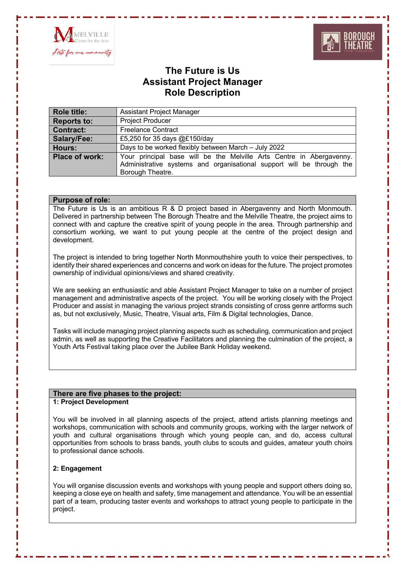



# **The Future is Us Assistant Project Manager Role Description**

| <b>Role title:</b>    | <b>Assistant Project Manager</b>                                                                                                                                  |
|-----------------------|-------------------------------------------------------------------------------------------------------------------------------------------------------------------|
| <b>Reports to:</b>    | <b>Project Producer</b>                                                                                                                                           |
| <b>Contract:</b>      | <b>Freelance Contract</b>                                                                                                                                         |
| Salary/Fee:           | £5,250 for 35 days @£150/day                                                                                                                                      |
| Hours:                | Days to be worked flexibly between March - July 2022                                                                                                              |
| <b>Place of work:</b> | Your principal base will be the Melville Arts Centre in Abergavenny.<br>Administrative systems and organisational support will be through the<br>Borough Theatre. |

## **Purpose of role:**

The Future is Us is an ambitious R & D project based in Abergavenny and North Monmouth. Delivered in partnership between The Borough Theatre and the Melville Theatre, the project aims to connect with and capture the creative spirit of young people in the area. Through partnership and consortium working, we want to put young people at the centre of the project design and development.

The project is intended to bring together North Monmouthshire youth to voice their perspectives, to identify their shared experiences and concerns and work on ideas for the future. The project promotes ownership of individual opinions/views and shared creativity.

We are seeking an enthusiastic and able Assistant Project Manager to take on a number of project management and administrative aspects of the project. You will be working closely with the Project Producer and assist in managing the various project strands consisting of cross genre artforms such as, but not exclusively, Music, Theatre, Visual arts, Film & Digital technologies, Dance.

Tasks will include managing project planning aspects such as scheduling, communication and project admin, as well as supporting the Creative Facilitators and planning the culmination of the project, a Youth Arts Festival taking place over the Jubilee Bank Holiday weekend.

#### **There are five phases to the project: 1: Project Development**

You will be involved in all planning aspects of the project, attend artists planning meetings and workshops, communication with schools and community groups, working with the larger network of youth and cultural organisations through which young people can, and do, access cultural opportunities from schools to brass bands, youth clubs to scouts and guides, amateur youth choirs to professional dance schools.

# **2: Engagement**

You will organise discussion events and workshops with young people and support others doing so, keeping a close eye on health and safety, time management and attendance. You will be an essential part of a team, producing taster events and workshops to attract young people to participate in the project.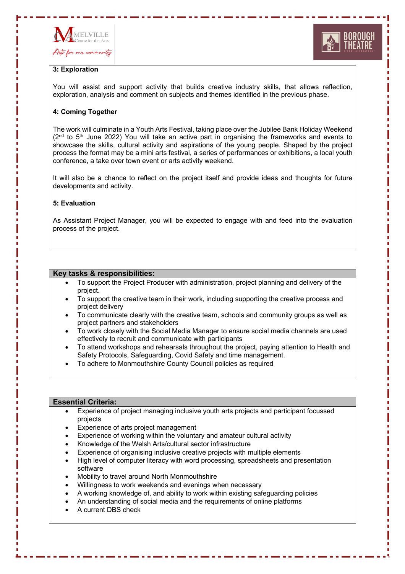



# **3: Exploration**

You will assist and support activity that builds creative industry skills, that allows reflection, exploration, analysis and comment on subjects and themes identified in the previous phase.

# **4: Coming Together**

The work will culminate in a Youth Arts Festival, taking place over the Jubilee Bank Holiday Weekend  $(2<sup>nd</sup>$  to 5<sup>th</sup> June 2022) You will take an active part in organising the frameworks and events to showcase the skills, cultural activity and aspirations of the young people. Shaped by the project process the format may be a mini arts festival, a series of performances or exhibitions, a local youth conference, a take over town event or arts activity weekend.

It will also be a chance to reflect on the project itself and provide ideas and thoughts for future developments and activity.

#### **5: Evaluation**

As Assistant Project Manager, you will be expected to engage with and feed into the evaluation process of the project.

## **Key tasks & responsibilities:**

- To support the Project Producer with administration, project planning and delivery of the project.
- To support the creative team in their work, including supporting the creative process and project delivery
- To communicate clearly with the creative team, schools and community groups as well as project partners and stakeholders
- To work closely with the Social Media Manager to ensure social media channels are used effectively to recruit and communicate with participants
- To attend workshops and rehearsals throughout the project, paying attention to Health and Safety Protocols, Safeguarding, Covid Safety and time management.
- To adhere to Monmouthshire County Council policies as required

#### **Essential Criteria:**

- Experience of project managing inclusive youth arts projects and participant focussed projects
- Experience of arts project management
- Experience of working within the voluntary and amateur cultural activity
- Knowledge of the Welsh Arts/cultural sector infrastructure
- Experience of organising inclusive creative projects with multiple elements
- High level of computer literacy with word processing, spreadsheets and presentation software
- Mobility to travel around North Monmouthshire
- Willingness to work weekends and evenings when necessary
- A working knowledge of, and ability to work within existing safeguarding policies
- An understanding of social media and the requirements of online platforms
- A current DBS check